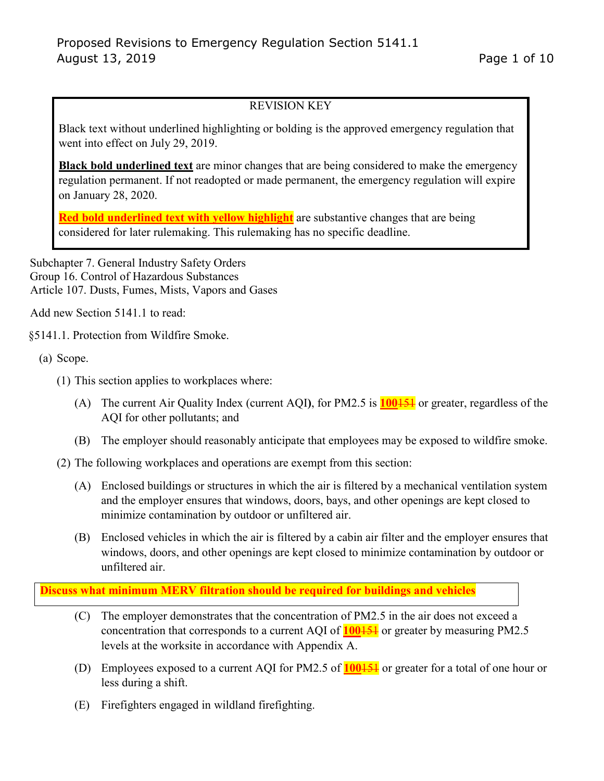# REVISION KEY

Black text without underlined highlighting or bolding is the approved emergency regulation that went into effect on July 29, 2019.

**Black bold underlined text** are minor changes that are being considered to make the emergency regulation permanent. If not readopted or made permanent, the emergency regulation will expire on January 28, 2020.

**Red bold underlined text with yellow highlight** are substantive changes that are being considered for later rulemaking. This rulemaking has no specific deadline.

Subchapter 7. General Industry Safety Orders Group 16. Control of Hazardous Substances Article 107. Dusts, Fumes, Mists, Vapors and Gases

Add new Section 5141.1 to read:

§5141.1. Protection from Wildfire Smoke.

(a) Scope.

- (1) This section applies to workplaces where:
	- (A) The current Air Quality Index (current AQI**)**, for PM2.5 is **100**151 or greater, regardless of the AQI for other pollutants; and
	- (B) The employer should reasonably anticipate that employees may be exposed to wildfire smoke.
- (2) The following workplaces and operations are exempt from this section:
	- (A) Enclosed buildings or structures in which the air is filtered by a mechanical ventilation system and the employer ensures that windows, doors, bays, and other openings are kept closed to minimize contamination by outdoor or unfiltered air.
	- (B) Enclosed vehicles in which the air is filtered by a cabin air filter and the employer ensures that windows, doors, and other openings are kept closed to minimize contamination by outdoor or unfiltered air.

**Discuss what minimum MERV filtration should be required for buildings and vehicles** 

- (C) The employer demonstrates that the concentration of PM2.5 in the air does not exceed a concentration that corresponds to a current AQI of **100**151 or greater by measuring PM2.5 levels at the worksite in accordance with Appendix A.
- (D) Employees exposed to a current AQI for PM2.5 of **100**151 or greater for a total of one hour or less during a shift.
- (E) Firefighters engaged in wildland firefighting.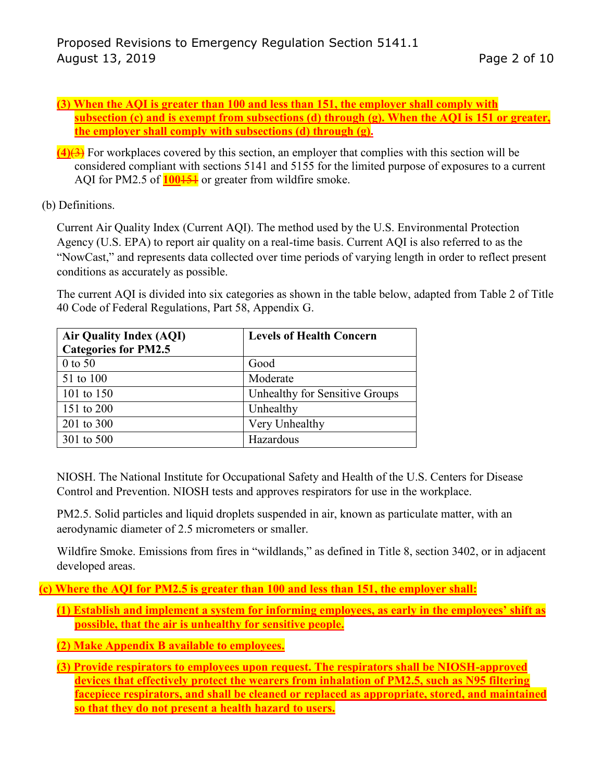- **(3) When the AQI is greater than 100 and less than 151, the employer shall comply with subsection (c) and is exempt from subsections (d) through (g). When the AQI is 151 or greater, the employer shall comply with subsections (d) through (g).**
- **(4)**(3) For workplaces covered by this section, an employer that complies with this section will be considered compliant with sections 5141 and 5155 for the limited purpose of exposures to a current AQI for PM2.5 of **100**151 or greater from wildfire smoke.
- (b) Definitions.

Current Air Quality Index (Current AQI). The method used by the U.S. Environmental Protection Agency (U.S. EPA) to report air quality on a real-time basis. Current AQI is also referred to as the "NowCast," and represents data collected over time periods of varying length in order to reflect present conditions as accurately as possible.

The current AQI is divided into six categories as shown in the table below, adapted from Table 2 of Title 40 Code of Federal Regulations, Part 58, Appendix G.

| <b>Air Quality Index (AQI)</b><br><b>Categories for PM2.5</b> | <b>Levels of Health Concern</b> |
|---------------------------------------------------------------|---------------------------------|
| 0 to 50                                                       | Good                            |
| 51 to 100                                                     | Moderate                        |
| 101 to 150                                                    | Unhealthy for Sensitive Groups  |
| 151 to 200                                                    | Unhealthy                       |
| 201 to 300                                                    | Very Unhealthy                  |
| 301 to 500                                                    | Hazardous                       |

NIOSH. The National Institute for Occupational Safety and Health of the U.S. Centers for Disease Control and Prevention. NIOSH tests and approves respirators for use in the workplace.

PM2.5. Solid particles and liquid droplets suspended in air, known as particulate matter, with an aerodynamic diameter of 2.5 micrometers or smaller.

Wildfire Smoke. Emissions from fires in "wildlands," as defined in Title 8, section 3402, or in adjacent developed areas.

**(c) Where the AQI for PM2.5 is greater than 100 and less than 151, the employer shall:**

- **(1) Establish and implement a system for informing employees, as early in the employees' shift as possible, that the air is unhealthy for sensitive people.**
- **(2) Make Appendix B available to employees.**
- **(3) Provide respirators to employees upon request. The respirators shall be NIOSH-approved devices that effectively protect the wearers from inhalation of PM2.5, such as N95 filtering facepiece respirators, and shall be cleaned or replaced as appropriate, stored, and maintained so that they do not present a health hazard to users.**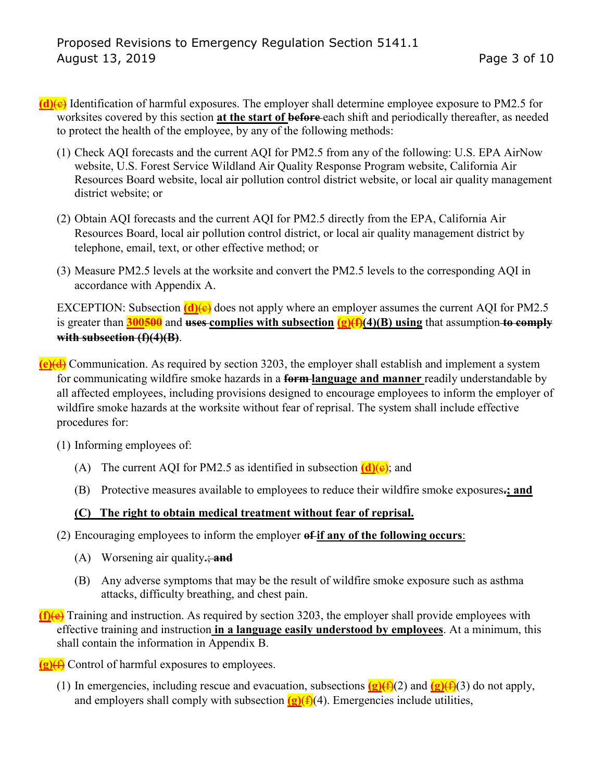- **(d)**(c) Identification of harmful exposures. The employer shall determine employee exposure to PM2.5 for worksites covered by this section **at the start of before** each shift and periodically thereafter, as needed to protect the health of the employee, by any of the following methods:
	- (1) Check AQI forecasts and the current AQI for PM2.5 from any of the following: U.S. EPA AirNow website, U.S. Forest Service Wildland Air Quality Response Program website, California Air Resources Board website, local air pollution control district website, or local air quality management district website; or
	- (2) Obtain AQI forecasts and the current AQI for PM2.5 directly from the EPA, California Air Resources Board, local air pollution control district, or local air quality management district by telephone, email, text, or other effective method; or
	- (3) Measure PM2.5 levels at the worksite and convert the PM2.5 levels to the corresponding AQI in accordance with Appendix A.

EXCEPTION: Subsection  $\frac{d}{e}$  does not apply where an employer assumes the current AQI for PM2.5 is greater than  $\frac{300500}{9}$  and  $\frac{uses}{ex}$  complies with subsection  $(g)(f)(4)(B)$  using that assumption to comply **with subsection (f)(4)(B)**.

- **(e)**(d) Communication. As required by section 3203, the employer shall establish and implement a system for communicating wildfire smoke hazards in a **form language and manner** readily understandable by all affected employees, including provisions designed to encourage employees to inform the employer of wildfire smoke hazards at the worksite without fear of reprisal. The system shall include effective procedures for:
	- (1) Informing employees of:
		- (A) The current AQI for PM2.5 as identified in subsection  $(d)(e)$ ; and
		- (B) Protective measures available to employees to reduce their wildfire smoke exposures**.; and**

## **(C) The right to obtain medical treatment without fear of reprisal.**

- (2) Encouraging employees to inform the employer **of if any of the following occurs**:
	- (A) Worsening air quality**.**; **and**
	- (B) Any adverse symptoms that may be the result of wildfire smoke exposure such as asthma attacks, difficulty breathing, and chest pain.
- **(f)**(e) Training and instruction. As required by section 3203, the employer shall provide employees with effective training and instruction **in a language easily understood by employees**. At a minimum, this shall contain the information in Appendix B.

**(g)**(f) Control of harmful exposures to employees.

(1) In emergencies, including rescue and evacuation, subsections  $(g)(f)(2)$  and  $(g)(f)(3)$  do not apply, and employers shall comply with subsection  $(g)(f)(4)$ . Emergencies include utilities,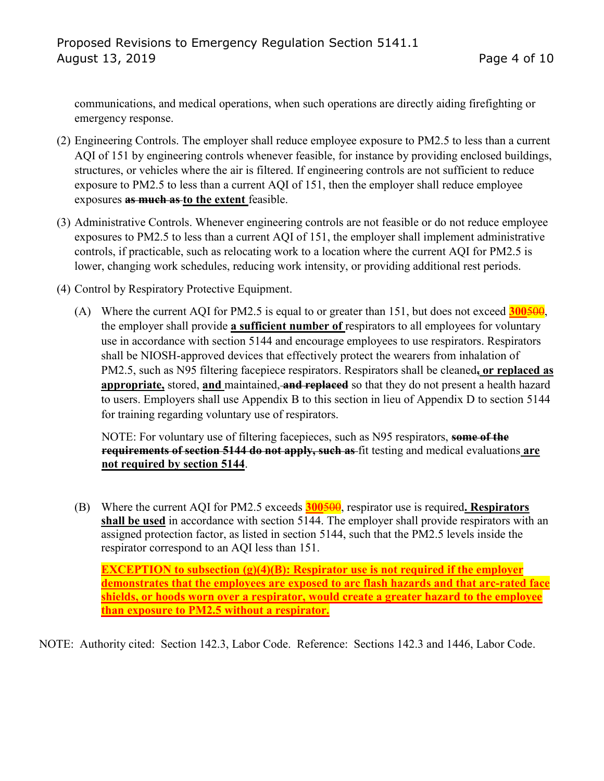communications, and medical operations, when such operations are directly aiding firefighting or emergency response.

- (2) Engineering Controls. The employer shall reduce employee exposure to PM2.5 to less than a current AQI of 151 by engineering controls whenever feasible, for instance by providing enclosed buildings, structures, or vehicles where the air is filtered. If engineering controls are not sufficient to reduce exposure to PM2.5 to less than a current AQI of 151, then the employer shall reduce employee exposures **as much as to the extent** feasible.
- (3) Administrative Controls. Whenever engineering controls are not feasible or do not reduce employee exposures to PM2.5 to less than a current AQI of 151, the employer shall implement administrative controls, if practicable, such as relocating work to a location where the current AQI for PM2.5 is lower, changing work schedules, reducing work intensity, or providing additional rest periods.
- (4) Control by Respiratory Protective Equipment.
	- (A) Where the current AQI for PM2.5 is equal to or greater than 151, but does not exceed **300**500, the employer shall provide **a sufficient number of** respirators to all employees for voluntary use in accordance with section 5144 and encourage employees to use respirators. Respirators shall be NIOSH-approved devices that effectively protect the wearers from inhalation of PM2.5, such as N95 filtering facepiece respirators. Respirators shall be cleaned**, or replaced as appropriate,** stored, **and** maintained, **and replaced** so that they do not present a health hazard to users. Employers shall use Appendix B to this section in lieu of Appendix D to section [5144](https://www.dir.ca.gov/title8/5144.html)  for training regarding voluntary use of respirators.

NOTE: For voluntary use of filtering facepieces, such as N95 respirators, **some of the requirements of section 5144 do not apply, such as** fit testing and medical evaluations **are not required by section [5144](https://www.dir.ca.gov/title8/5144.html)**.

(B) Where the current AQI for PM2.5 exceeds **300**500, respirator use is required**. Respirators shall be used** in accordance with section [5144.](https://www.dir.ca.gov/title8/5144.html) The employer shall provide respirators with an assigned protection factor, as listed in section [5144,](https://www.dir.ca.gov/title8/5144.html) such that the PM2.5 levels inside the respirator correspond to an AQI less than 151.

**EXCEPTION to subsection (g)(4)(B): Respirator use is not required if the employer demonstrates that the employees are exposed to arc flash hazards and that arc-rated face shields, or hoods worn over a respirator, would create a greater hazard to the employee than exposure to PM2.5 without a respirator.** 

NOTE: Authority cited: Section 142.3, Labor Code. Reference: Sections 142.3 and 1446, Labor Code.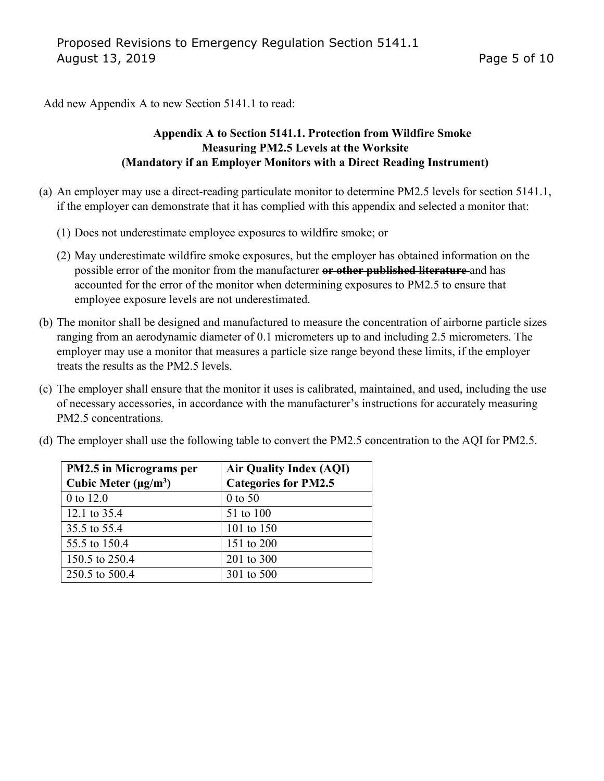Add new Appendix A to new Section 5141.1 to read:

## **Appendix A to Section 5141.1. Protection from Wildfire Smoke Measuring PM2.5 Levels at the Worksite (Mandatory if an Employer Monitors with a Direct Reading Instrument)**

- (a) An employer may use a direct-reading particulate monitor to determine PM2.5 levels for section 5141.1, if the employer can demonstrate that it has complied with this appendix and selected a monitor that:
	- (1) Does not underestimate employee exposures to wildfire smoke; or
	- (2) May underestimate wildfire smoke exposures, but the employer has obtained information on the possible error of the monitor from the manufacturer **or other published literature** and has accounted for the error of the monitor when determining exposures to PM2.5 to ensure that employee exposure levels are not underestimated.
- (b) The monitor shall be designed and manufactured to measure the concentration of airborne particle sizes ranging from an aerodynamic diameter of 0.1 micrometers up to and including 2.5 micrometers. The employer may use a monitor that measures a particle size range beyond these limits, if the employer treats the results as the PM2.5 levels.
- (c) The employer shall ensure that the monitor it uses is calibrated, maintained, and used, including the use of necessary accessories, in accordance with the manufacturer's instructions for accurately measuring PM2.5 concentrations.

| <b>PM2.5</b> in Micrograms per<br>Cubic Meter $(\mu g/m^3)$ | <b>Air Quality Index (AQI)</b><br><b>Categories for PM2.5</b> |
|-------------------------------------------------------------|---------------------------------------------------------------|
|                                                             |                                                               |
| 12.1 to 35.4                                                | 51 to 100                                                     |
| 35.5 to 55.4                                                | 101 to 150                                                    |
| 55.5 to 150.4                                               | 151 to 200                                                    |
| 150.5 to 250.4                                              | 201 to 300                                                    |
| 250.5 to 500.4                                              | 301 to 500                                                    |

(d) The employer shall use the following table to convert the PM2.5 concentration to the AQI for PM2.5.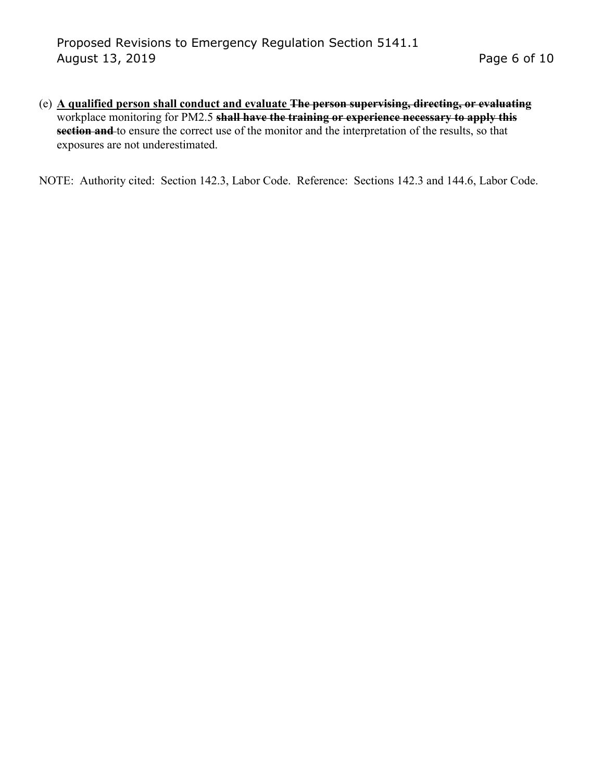(e) **A qualified person shall conduct and evaluate The person supervising, directing, or evaluating** workplace monitoring for PM2.5 **shall have the training or experience necessary to apply this section and** to ensure the correct use of the monitor and the interpretation of the results, so that exposures are not underestimated.

NOTE: Authority cited: Section 142.3, Labor Code. Reference: Sections 142.3 and 144.6, Labor Code.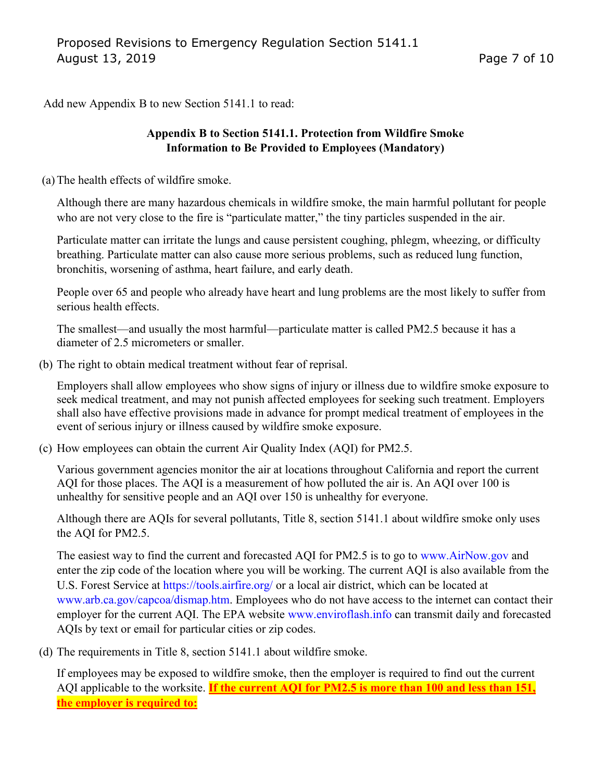Add new Appendix B to new Section 5141.1 to read:

## **Appendix B to Section 5141.1. Protection from Wildfire Smoke Information to Be Provided to Employees (Mandatory)**

(a)The health effects of wildfire smoke.

Although there are many hazardous chemicals in wildfire smoke, the main harmful pollutant for people who are not very close to the fire is "particulate matter," the tiny particles suspended in the air.

Particulate matter can irritate the lungs and cause persistent coughing, phlegm, wheezing, or difficulty breathing. Particulate matter can also cause more serious problems, such as reduced lung function, bronchitis, worsening of asthma, heart failure, and early death.

People over 65 and people who already have heart and lung problems are the most likely to suffer from serious health effects.

The smallest—and usually the most harmful—particulate matter is called PM2.5 because it has a diameter of 2.5 micrometers or smaller.

(b) The right to obtain medical treatment without fear of reprisal.

Employers shall allow employees who show signs of injury or illness due to wildfire smoke exposure to seek medical treatment, and may not punish affected employees for seeking such treatment. Employers shall also have effective provisions made in advance for prompt medical treatment of employees in the event of serious injury or illness caused by wildfire smoke exposure.

(c) How employees can obtain the current Air Quality Index (AQI) for PM2.5.

Various government agencies monitor the air at locations throughout California and report the current AQI for those places. The AQI is a measurement of how polluted the air is. An AQI over 100 is unhealthy for sensitive people and an AQI over 150 is unhealthy for everyone.

Although there are AQIs for several pollutants, Title 8, section 5141.1 about wildfire smoke only uses the AQI for PM2.5.

The easiest way to find the current and forecasted AQI for PM2.5 is to go to [www.AirNow.gov](http://www.airnow.gov/) and enter the zip code of the location where you will be working. The current AQI is also available from the U.S. Forest Service at<https://tools.airfire.org/>or a local air district, which can be located at [www.arb.ca.gov/capcoa/dismap.htm.](http://www.arb.ca.gov/capcoa/dismap.htm) Employees who do not have access to the internet can contact their employer for the current AQI. The EPA website [www.enviroflash.info](http://www.enviroflash.info/) can transmit daily and forecasted AQIs by text or email for particular cities or zip codes.

(d) The requirements in Title 8, section 5141.1 about wildfire smoke.

If employees may be exposed to wildfire smoke, then the employer is required to find out the current AQI applicable to the worksite. **If the current AQI for PM2.5 is more than 100 and less than 151, the employer is required to:**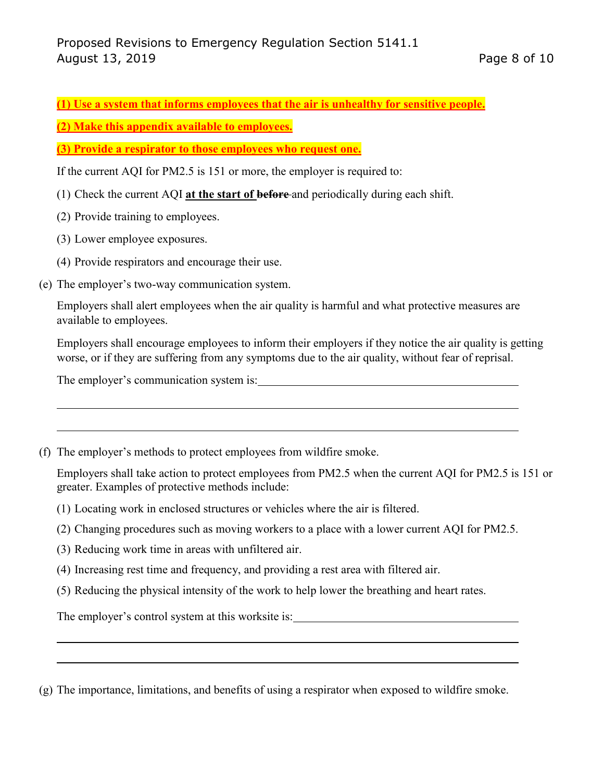**(1) Use a system that informs employees that the air is unhealthy for sensitive people.**

**(2) Make this appendix available to employees.**

**(3) Provide a respirator to those employees who request one.** 

If the current AQI for PM2.5 is 151 or more, the employer is required to:

- (1) Check the current AQI **at the start of before** and periodically during each shift.
- (2) Provide training to employees.
- (3) Lower employee exposures.
- (4) Provide respirators and encourage their use.
- (e) The employer's two-way communication system.

Employers shall alert employees when the air quality is harmful and what protective measures are available to employees.

Employers shall encourage employees to inform their employers if they notice the air quality is getting worse, or if they are suffering from any symptoms due to the air quality, without fear of reprisal.

The employer's communication system is:

(f) The employer's methods to protect employees from wildfire smoke.

Employers shall take action to protect employees from PM2.5 when the current AQI for PM2.5 is 151 or greater. Examples of protective methods include:

- (1) Locating work in enclosed structures or vehicles where the air is filtered.
- (2) Changing procedures such as moving workers to a place with a lower current AQI for PM2.5.
- (3) Reducing work time in areas with unfiltered air.
- (4) Increasing rest time and frequency, and providing a rest area with filtered air.
- (5) Reducing the physical intensity of the work to help lower the breathing and heart rates.

The employer's control system at this worksite is:

(g) The importance, limitations, and benefits of using a respirator when exposed to wildfire smoke.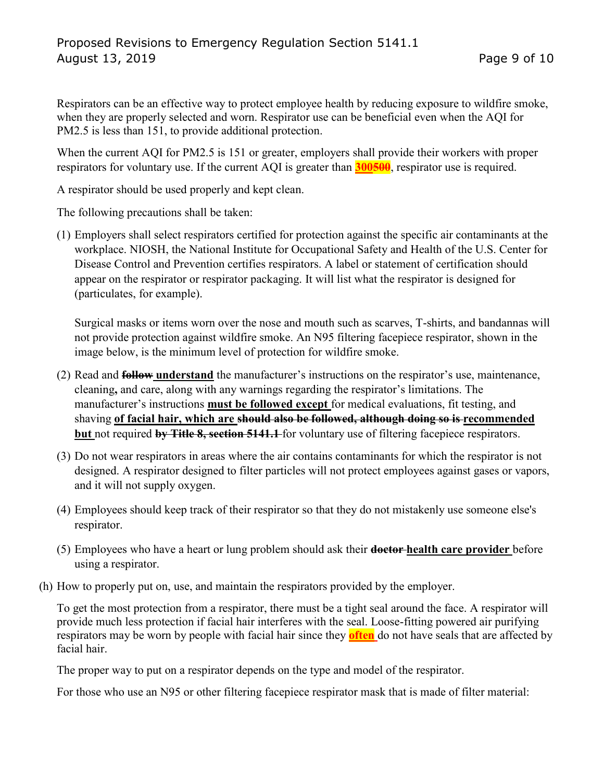Respirators can be an effective way to protect employee health by reducing exposure to wildfire smoke, when they are properly selected and worn. Respirator use can be beneficial even when the AQI for PM2.5 is less than 151, to provide additional protection.

When the current AQI for PM2.5 is 151 or greater, employers shall provide their workers with proper respirators for voluntary use. If the current AQI is greater than **300500**, respirator use is required.

A respirator should be used properly and kept clean.

The following precautions shall be taken:

(1) Employers shall select respirators certified for protection against the specific air contaminants at the workplace. NIOSH, the National Institute for Occupational Safety and Health of the U.S. Center for Disease Control and Prevention certifies respirators. A label or statement of certification should appear on the respirator or respirator packaging. It will list what the respirator is designed for (particulates, for example).

Surgical masks or items worn over the nose and mouth such as scarves, T-shirts, and bandannas will not provide protection against wildfire smoke. An N95 filtering facepiece respirator, shown in the image below, is the minimum level of protection for wildfire smoke.

- (2) Read and **follow understand** the manufacturer's instructions on the respirator's use, maintenance, cleaning**,** and care, along with any warnings regarding the respirator's limitations. The manufacturer's instructions **must be followed except** for medical evaluations, fit testing, and shaving **of facial hair, which are should also be followed, although doing so is recommended but** not required **by Title 8, section 5141.1** for voluntary use of filtering facepiece respirators.
- (3) Do not wear respirators in areas where the air contains contaminants for which the respirator is not designed. A respirator designed to filter particles will not protect employees against gases or vapors, and it will not supply oxygen.
- (4) Employees should keep track of their respirator so that they do not mistakenly use someone else's respirator.
- (5) Employees who have a heart or lung problem should ask their **doctor health care provider** before using a respirator.
- (h) How to properly put on, use, and maintain the respirators provided by the employer.

To get the most protection from a respirator, there must be a tight seal around the face. A respirator will provide much less protection if facial hair interferes with the seal. Loose-fitting powered air purifying respirators may be worn by people with facial hair since they **often** do not have seals that are affected by facial hair.

The proper way to put on a respirator depends on the type and model of the respirator.

For those who use an N95 or other filtering facepiece respirator mask that is made of filter material: